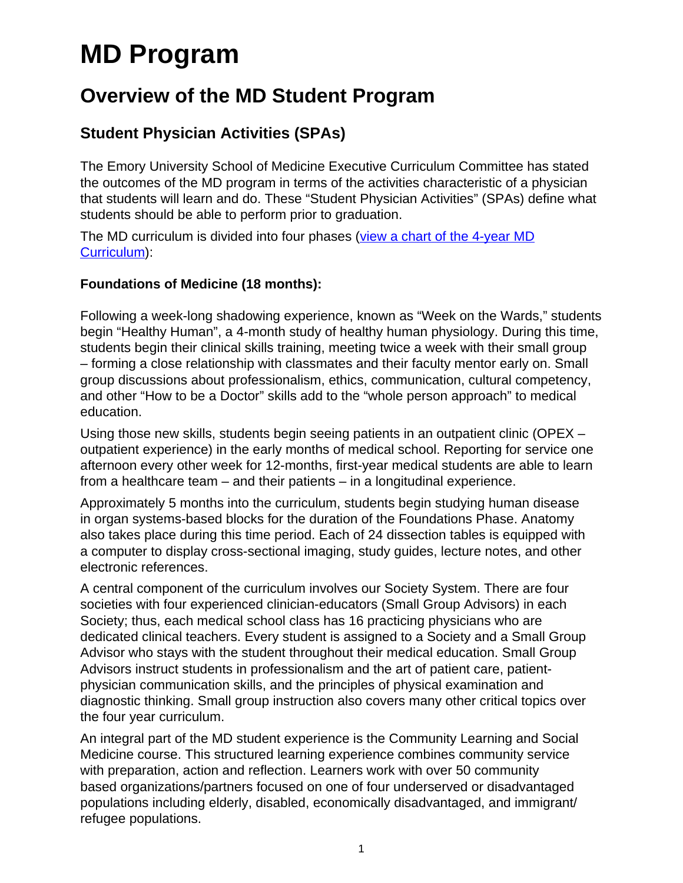# **MD Program**

## **Overview of the MD Student Program**

### **Student Physician Activities (SPAs)**

The Emory University School of Medicine Executive Curriculum Committee has stated the outcomes of the MD program in terms of the activities characteristic of a physician that students will learn and do. These "Student Physician Activities" (SPAs) define what students should be able to perform prior to graduation.

The MD curriculum is divided into four phases ([view a chart of the 4-year MD](http://med.emory.edu/handbook/education/programs/md/curriculum/4phases/index.html) [Curriculum\)](http://med.emory.edu/handbook/education/programs/md/curriculum/4phases/index.html):

#### **Foundations of Medicine (18 months):**

Following a week-long shadowing experience, known as "Week on the Wards," students begin "Healthy Human", a 4-month study of healthy human physiology. During this time, students begin their clinical skills training, meeting twice a week with their small group – forming a close relationship with classmates and their faculty mentor early on. Small group discussions about professionalism, ethics, communication, cultural competency, and other "How to be a Doctor" skills add to the "whole person approach" to medical education.

Using those new skills, students begin seeing patients in an outpatient clinic (OPEX – outpatient experience) in the early months of medical school. Reporting for service one afternoon every other week for 12-months, first-year medical students are able to learn from a healthcare team – and their patients – in a longitudinal experience.

Approximately 5 months into the curriculum, students begin studying human disease in organ systems-based blocks for the duration of the Foundations Phase. Anatomy also takes place during this time period. Each of 24 dissection tables is equipped with a computer to display cross-sectional imaging, study guides, lecture notes, and other electronic references.

A central component of the curriculum involves our Society System. There are four societies with four experienced clinician-educators (Small Group Advisors) in each Society; thus, each medical school class has 16 practicing physicians who are dedicated clinical teachers. Every student is assigned to a Society and a Small Group Advisor who stays with the student throughout their medical education. Small Group Advisors instruct students in professionalism and the art of patient care, patientphysician communication skills, and the principles of physical examination and diagnostic thinking. Small group instruction also covers many other critical topics over the four year curriculum.

An integral part of the MD student experience is the Community Learning and Social Medicine course. This structured learning experience combines community service with preparation, action and reflection. Learners work with over 50 community based organizations/partners focused on one of four underserved or disadvantaged populations including elderly, disabled, economically disadvantaged, and immigrant/ refugee populations.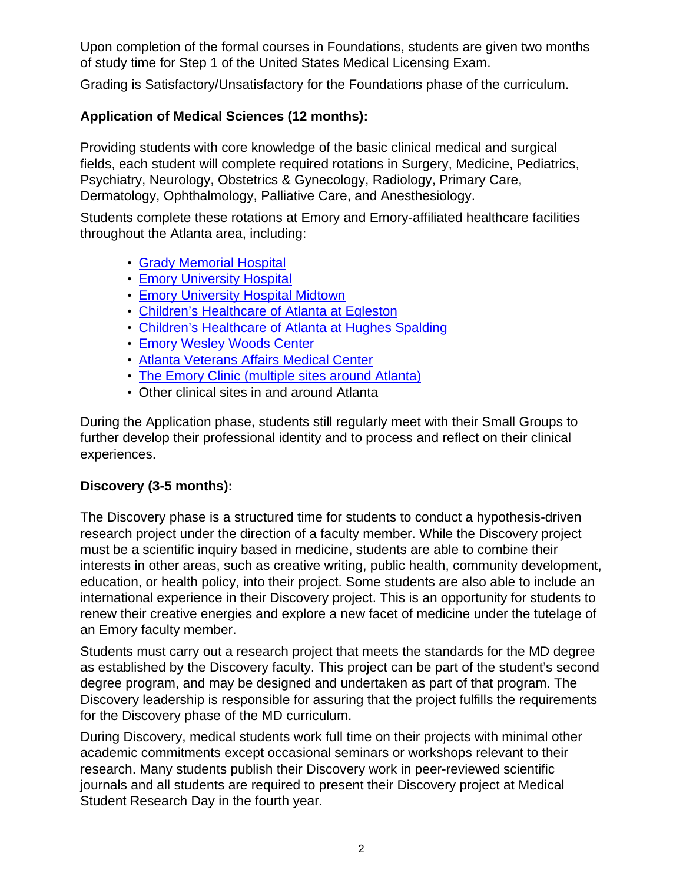Upon completion of the formal courses in Foundations, students are given two months of study time for Step 1 of the United States Medical Licensing Exam.

Grading is Satisfactory/Unsatisfactory for the Foundations phase of the curriculum.

#### **Application of Medical Sciences (12 months):**

Providing students with core knowledge of the basic clinical medical and surgical fields, each student will complete required rotations in Surgery, Medicine, Pediatrics, Psychiatry, Neurology, Obstetrics & Gynecology, Radiology, Primary Care, Dermatology, Ophthalmology, Palliative Care, and Anesthesiology.

Students complete these rotations at Emory and Emory-affiliated healthcare facilities throughout the Atlanta area, including:

- [Grady Memorial Hospital](http://www.gradyhealth.org/)
- [Emory University Hospital](https://www.emoryhealthcare.org/locations/hospitals/emory-university-hospital/index.html)
- [Emory University Hospital Midtown](http://www.emoryhealthcare.org/emory-university-hospital-midtown-atlanta/index.html)
- [Children's Healthcare of Atlanta at Egleston](http://www.choa.org/)
- [Children's Healthcare of Atlanta at Hughes Spalding](http://www.choa.org/About-Childrens/Locations-and-Directions/Childrens-Hughes-Spalding)
- [Emory Wesley Woods Center](http://www.wesleywoods.org/wesley-woods-center-phone-directory.html)
- [Atlanta Veterans Affairs Medical Center](http://www.atlanta.va.gov/)
- [The Emory Clinic \(multiple sites around Atlanta\)](https://www.emoryhealthcare.org/emory-clinic/index.html)
- Other clinical sites in and around Atlanta

During the Application phase, students still regularly meet with their Small Groups to further develop their professional identity and to process and reflect on their clinical experiences.

#### **Discovery (3-5 months):**

The Discovery phase is a structured time for students to conduct a hypothesis-driven research project under the direction of a faculty member. While the Discovery project must be a scientific inquiry based in medicine, students are able to combine their interests in other areas, such as creative writing, public health, community development, education, or health policy, into their project. Some students are also able to include an international experience in their Discovery project. This is an opportunity for students to renew their creative energies and explore a new facet of medicine under the tutelage of an Emory faculty member.

Students must carry out a research project that meets the standards for the MD degree as established by the Discovery faculty. This project can be part of the student's second degree program, and may be designed and undertaken as part of that program. The Discovery leadership is responsible for assuring that the project fulfills the requirements for the Discovery phase of the MD curriculum.

During Discovery, medical students work full time on their projects with minimal other academic commitments except occasional seminars or workshops relevant to their research. Many students publish their Discovery work in peer-reviewed scientific journals and all students are required to present their Discovery project at Medical Student Research Day in the fourth year.